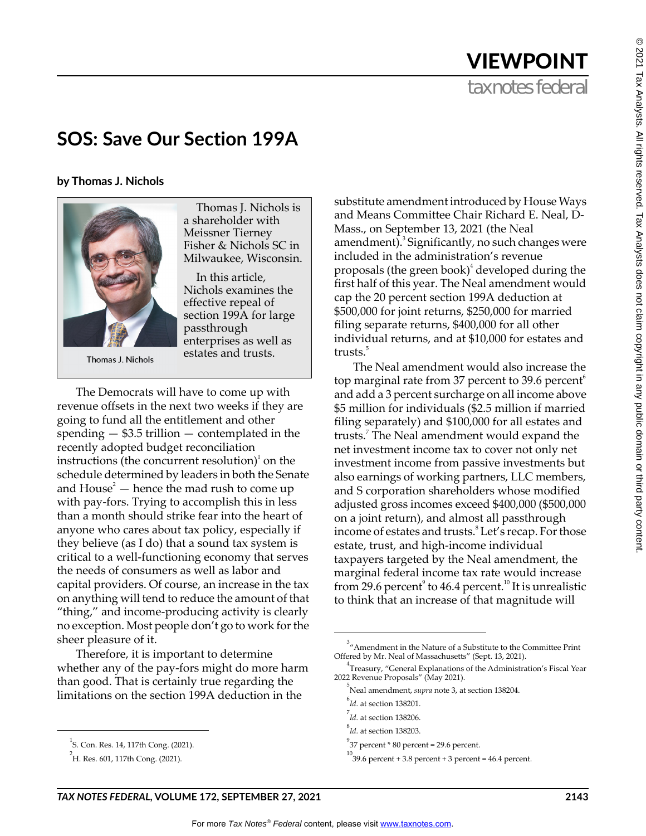## tax notes federal VIEWPOINT

## **SOS: Save Our Section 199A**

**by Thomas J. Nichols**



Thomas J. Nichols

Thomas J. Nichols is a shareholder with Meissner Tierney Fisher & Nichols SC in Milwaukee, Wisconsin.

In this article, Nichols examines the effective repeal of section 199A for large passthrough enterprises as well as estates and trusts.

The Democrats will have to come up with revenue offsets in the next two weeks if they are going to fund all the entitlement and other spending — \$3.5 trillion — contemplated in the recently adopted budget reconciliation instructions (the concurrent resolution) $^1$  on the schedule determined by leaders in both the Senate and  $House<sup>2</sup>$  – hence the mad rush to come up with pay-fors. Trying to accomplish this in less than a month should strike fear into the heart of anyone who cares about tax policy, especially if they believe (as I do) that a sound tax system is critical to a well-functioning economy that serves the needs of consumers as well as labor and capital providers. Of course, an increase in the tax on anything will tend to reduce the amount of that "thing," and income-producing activity is clearly no exception. Most people don't go to work for the sheer pleasure of it.

Therefore, it is important to determine whether any of the pay-fors might do more harm than good. That is certainly true regarding the limitations on the section 199A deduction in the

substitute amendment introduced by House Ways and Means Committee Chair Richard E. Neal, D-Mass., on September 13, 2021 (the Neal amendment).<sup>3</sup> Significantly, no such changes were included in the administration's revenue proposals (the green book) $^4$  developed during the first half of this year. The Neal amendment would cap the 20 percent section 199A deduction at \$500,000 for joint returns, \$250,000 for married filing separate returns, \$400,000 for all other individual returns, and at \$10,000 for estates and trusts.<sup>5</sup>

The Neal amendment would also increase the top marginal rate from 37 percent to 39.6 percent $\phi$ and add a 3 percent surcharge on all income above \$5 million for individuals (\$2.5 million if married filing separately) and \$100,000 for all estates and trusts.<sup>7</sup> The Neal amendment would expand the net investment income tax to cover not only net investment income from passive investments but also earnings of working partners, LLC members, and S corporation shareholders whose modified adjusted gross incomes exceed \$400,000 (\$500,000 on a joint return), and almost all passthrough income of estates and trusts.<sup>8</sup> Let's recap. For those estate, trust, and high-income individual taxpayers targeted by the Neal amendment, the marginal federal income tax rate would increase from 29.6 percent $\degree$  to 46.4 percent.<sup>10</sup> It is unrealistic to think that an increase of that magnitude will

<sup>1</sup> S. Con. Res. 14, 117th Cong. (2021).

<sup>&</sup>lt;sup>2</sup>H. Res. 601, 117th Cong. (2021).

 $3$ <sup>3</sup> "Amendment in the Nature of a Substitute to the Committee Print Offered by Mr. Neal of Massachusetts" (Sept. 13, 2021).

<sup>4</sup> Treasury, "General Explanations of the Administration's Fiscal Year 2022 Revenue Proposals" (May 2021).

<sup>5</sup> Neal amendment, *supra* note 3, at section 138204.

<sup>6</sup> *Id.* at section 138201.

<sup>7</sup> *Id.* at section 138206.

<sup>8</sup> *Id.* at section 138203.

<sup>9</sup> 37 percent \* 80 percent = 29.6 percent.

 $^{10}$ 39.6 percent + 3.8 percent + 3 percent = 46.4 percent.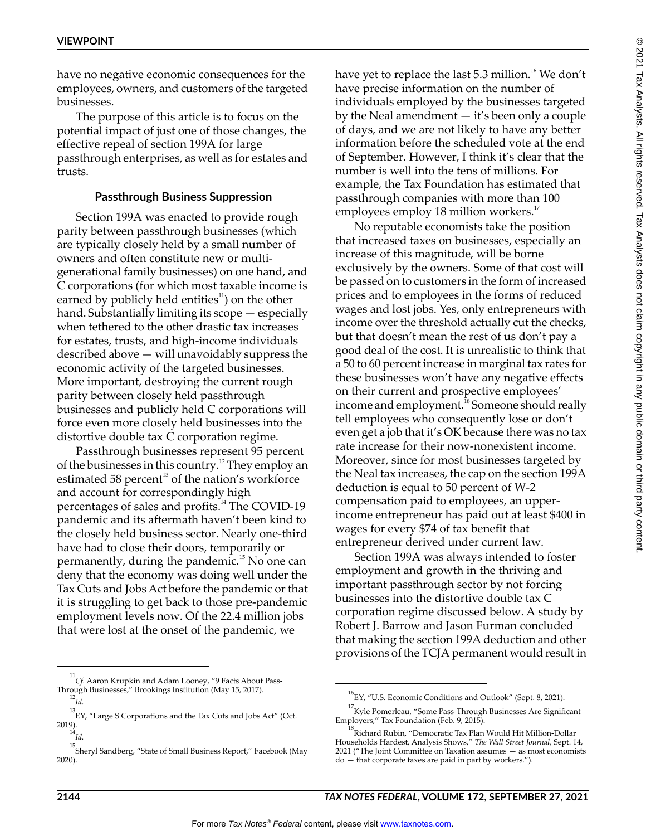have no negative economic consequences for the employees, owners, and customers of the targeted businesses.

The purpose of this article is to focus on the potential impact of just one of those changes, the effective repeal of section 199A for large passthrough enterprises, as well as for estates and trusts.

## **Passthrough Business Suppression**

Section 199A was enacted to provide rough parity between passthrough businesses (which are typically closely held by a small number of owners and often constitute new or multigenerational family businesses) on one hand, and C corporations (for which most taxable income is earned by publicly held entities<sup>11</sup>) on the other hand. Substantially limiting its scope — especially when tethered to the other drastic tax increases for estates, trusts, and high-income individuals described above — will unavoidably suppress the economic activity of the targeted businesses. More important, destroying the current rough parity between closely held passthrough businesses and publicly held C corporations will force even more closely held businesses into the distortive double tax C corporation regime.

Passthrough businesses represent 95 percent of the businesses in this country.12 They employ an estimated 58 percent<sup>13</sup> of the nation's workforce and account for correspondingly high percentages of sales and profits.<sup>14</sup> The COVID-19 pandemic and its aftermath haven't been kind to the closely held business sector. Nearly one-third have had to close their doors, temporarily or permanently, during the pandemic.<sup>15</sup> No one can deny that the economy was doing well under the Tax Cuts and Jobs Act before the pandemic or that it is struggling to get back to those pre-pandemic employment levels now. Of the 22.4 million jobs that were lost at the onset of the pandemic, we

have yet to replace the last  $5.3$  million.<sup>16</sup> We don't have precise information on the number of individuals employed by the businesses targeted by the Neal amendment — it's been only a couple of days, and we are not likely to have any better information before the scheduled vote at the end of September. However, I think it's clear that the number is well into the tens of millions. For example, the Tax Foundation has estimated that passthrough companies with more than 100 employees employ 18 million workers.<sup>17</sup>

No reputable economists take the position that increased taxes on businesses, especially an increase of this magnitude, will be borne exclusively by the owners. Some of that cost will be passed on to customers in the form of increased prices and to employees in the forms of reduced wages and lost jobs. Yes, only entrepreneurs with income over the threshold actually cut the checks, but that doesn't mean the rest of us don't pay a good deal of the cost. It is unrealistic to think that a 50 to 60 percent increase in marginal tax rates for these businesses won't have any negative effects on their current and prospective employees' income and employment.<sup>18</sup> Someone should really tell employees who consequently lose or don't even get a job that it's OK because there was no tax rate increase for their now-nonexistent income. Moreover, since for most businesses targeted by the Neal tax increases, the cap on the section 199A deduction is equal to 50 percent of W-2 compensation paid to employees, an upperincome entrepreneur has paid out at least \$400 in wages for every \$74 of tax benefit that entrepreneur derived under current law.

Section 199A was always intended to foster employment and growth in the thriving and important passthrough sector by not forcing businesses into the distortive double tax C corporation regime discussed below. A study by Robert J. Barrow and Jason Furman concluded that making the section 199A deduction and other provisions of the TCJA permanent would result in

<sup>&</sup>lt;sup>11</sup>Cf. Aaron Krupkin and Adam Looney, "9 Facts About Pass-Through Businesses," Brookings Institution (May 15, 2017). 12 *Id.*

 $^{13}$ EY, "Large S Corporations and the Tax Cuts and Jobs Act" (Oct. 2019).<br>.<sup>14</sup>

*Id.*

<sup>15</sup> Sheryl Sandberg, "State of Small Business Report," Facebook (May 2020).

<sup>16</sup> EY, "U.S. Economic Conditions and Outlook" (Sept. 8, 2021).

<sup>&</sup>lt;sup>17</sup>Kyle Pomerleau, "Some Pass-Through Businesses Are Significant Employers," Tax Foundation (Feb. 9, 2015).

<sup>&</sup>lt;sup>18</sup><br>Richard Rubin, "Democratic Tax Plan Would Hit Million-Dollar Households Hardest, Analysis Shows," *The Wall Street Journal*, Sept. 14, 2021 ("The Joint Committee on Taxation assumes — as most economists do — that corporate taxes are paid in part by workers.").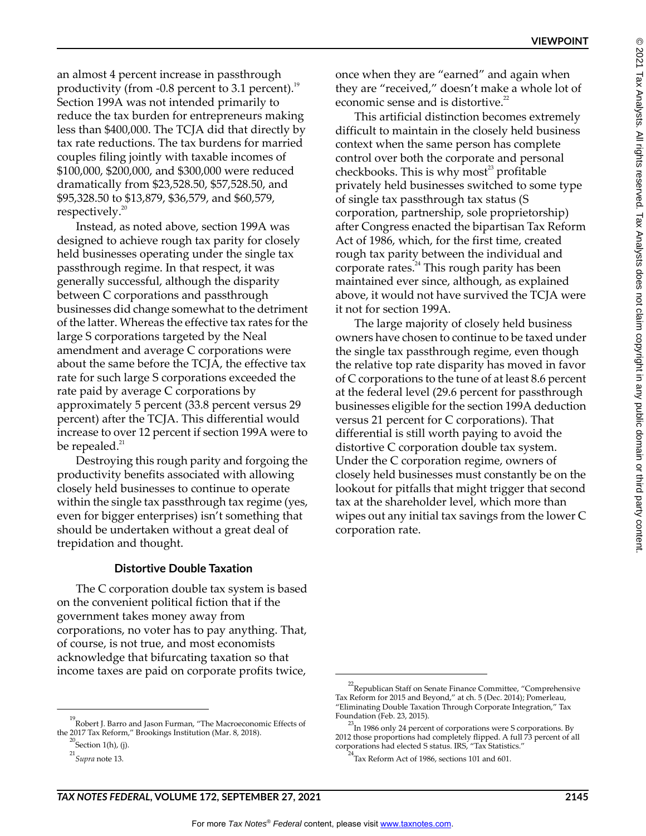**VIEWPOINT**

an almost 4 percent increase in passthrough productivity (from  $-0.8$  percent to 3.1 percent).<sup>19</sup> Section 199A was not intended primarily to reduce the tax burden for entrepreneurs making less than \$400,000. The TCJA did that directly by tax rate reductions. The tax burdens for married couples filing jointly with taxable incomes of \$100,000, \$200,000, and \$300,000 were reduced dramatically from \$23,528.50, \$57,528.50, and \$95,328.50 to \$13,879, \$36,579, and \$60,579, respectively. $20$ 

Instead, as noted above, section 199A was designed to achieve rough tax parity for closely held businesses operating under the single tax passthrough regime. In that respect, it was generally successful, although the disparity between C corporations and passthrough businesses did change somewhat to the detriment of the latter. Whereas the effective tax rates for the large S corporations targeted by the Neal amendment and average C corporations were about the same before the TCJA, the effective tax rate for such large S corporations exceeded the rate paid by average C corporations by approximately 5 percent (33.8 percent versus 29 percent) after the TCJA. This differential would increase to over 12 percent if section 199A were to be repealed. $^{21}$ 

Destroying this rough parity and forgoing the productivity benefits associated with allowing closely held businesses to continue to operate within the single tax passthrough tax regime (yes, even for bigger enterprises) isn't something that should be undertaken without a great deal of trepidation and thought.

## **Distortive Double Taxation**

The C corporation double tax system is based on the convenient political fiction that if the government takes money away from corporations, no voter has to pay anything. That, of course, is not true, and most economists acknowledge that bifurcating taxation so that income taxes are paid on corporate profits twice,

once when they are "earned" and again when they are "received," doesn't make a whole lot of economic sense and is distortive.<sup>22</sup>

This artificial distinction becomes extremely difficult to maintain in the closely held business context when the same person has complete control over both the corporate and personal checkbooks. This is why most<sup>23</sup> profitable privately held businesses switched to some type of single tax passthrough tax status (S corporation, partnership, sole proprietorship) after Congress enacted the bipartisan Tax Reform Act of 1986, which, for the first time, created rough tax parity between the individual and corporate rates.<sup>24</sup> This rough parity has been maintained ever since, although, as explained above, it would not have survived the TCJA were it not for section 199A.

The large majority of closely held business owners have chosen to continue to be taxed under the single tax passthrough regime, even though the relative top rate disparity has moved in favor of C corporations to the tune of at least 8.6 percent at the federal level (29.6 percent for passthrough businesses eligible for the section 199A deduction versus 21 percent for C corporations). That differential is still worth paying to avoid the distortive C corporation double tax system. Under the C corporation regime, owners of closely held businesses must constantly be on the lookout for pitfalls that might trigger that second tax at the shareholder level, which more than wipes out any initial tax savings from the lower C corporation rate.

<sup>&</sup>lt;sup>19</sup> Robert J. Barro and Jason Furman, "The Macroeconomic Effects of the 2017 Tax Reform," Brookings Institution (Mar. 8, 2018).

 $^{20}$ Section 1(h), (j).

<sup>21</sup> *Supra* note 13.

<sup>&</sup>lt;sup>22</sup> Republican Staff on Senate Finance Committee, "Comprehensive Tax Reform for 2015 and Beyond," at ch. 5 (Dec. 2014); Pomerleau, "Eliminating Double Taxation Through Corporate Integration," Tax Foundation (Feb. 23, 2015).

 $^{23}$ In 1986 only 24 percent of corporations were S corporations. By 2012 those proportions had completely flipped. A full 73 percent of all corporations had elected S status. IRS, "Tax Statistics."<br> $24\pi$ 

Tax Reform Act of 1986, sections 101 and 601.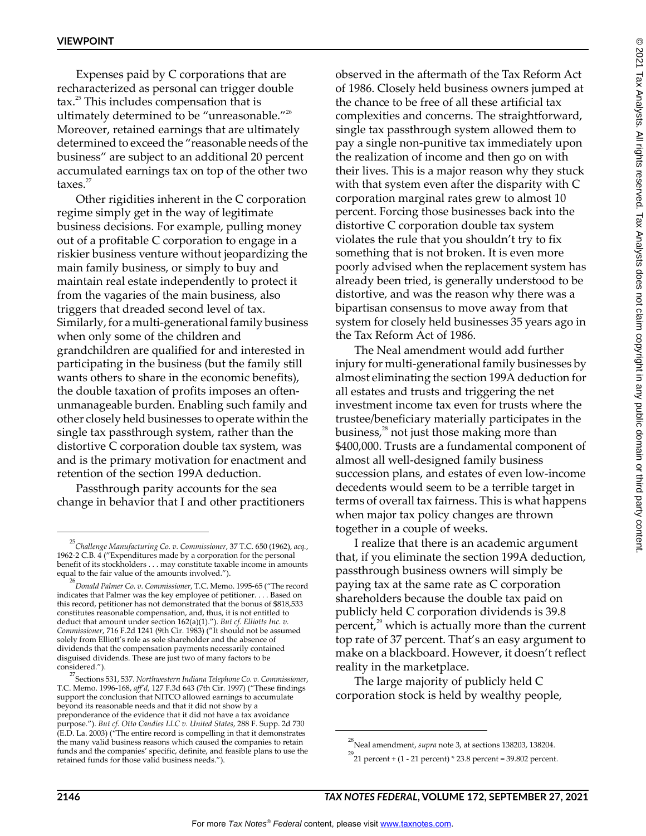Expenses paid by C corporations that are recharacterized as personal can trigger double  $\text{tax.}^{25}$  This includes compensation that is ultimately determined to be "unreasonable."26 Moreover, retained earnings that are ultimately determined to exceed the "reasonable needs of the business" are subject to an additional 20 percent accumulated earnings tax on top of the other two taxes.<sup>27</sup>

Other rigidities inherent in the C corporation regime simply get in the way of legitimate business decisions. For example, pulling money out of a profitable C corporation to engage in a riskier business venture without jeopardizing the main family business, or simply to buy and maintain real estate independently to protect it from the vagaries of the main business, also triggers that dreaded second level of tax. Similarly, for a multi-generational family business when only some of the children and grandchildren are qualified for and interested in participating in the business (but the family still wants others to share in the economic benefits), the double taxation of profits imposes an oftenunmanageable burden. Enabling such family and other closely held businesses to operate within the single tax passthrough system, rather than the distortive C corporation double tax system, was and is the primary motivation for enactment and retention of the section 199A deduction.

Passthrough parity accounts for the sea change in behavior that I and other practitioners observed in the aftermath of the Tax Reform Act of 1986. Closely held business owners jumped at the chance to be free of all these artificial tax complexities and concerns. The straightforward, single tax passthrough system allowed them to pay a single non-punitive tax immediately upon the realization of income and then go on with their lives. This is a major reason why they stuck with that system even after the disparity with C corporation marginal rates grew to almost 10 percent. Forcing those businesses back into the distortive C corporation double tax system violates the rule that you shouldn't try to fix something that is not broken. It is even more poorly advised when the replacement system has already been tried, is generally understood to be distortive, and was the reason why there was a bipartisan consensus to move away from that system for closely held businesses 35 years ago in the Tax Reform Act of 1986.

The Neal amendment would add further injury for multi-generational family businesses by almost eliminating the section 199A deduction for all estates and trusts and triggering the net investment income tax even for trusts where the trustee/beneficiary materially participates in the business,<sup>28</sup> not just those making more than \$400,000. Trusts are a fundamental component of almost all well-designed family business succession plans, and estates of even low-income decedents would seem to be a terrible target in terms of overall tax fairness. This is what happens when major tax policy changes are thrown together in a couple of weeks.

I realize that there is an academic argument that, if you eliminate the section 199A deduction, passthrough business owners will simply be paying tax at the same rate as C corporation shareholders because the double tax paid on publicly held C corporation dividends is 39.8 percent, $^{29}$  which is actually more than the current top rate of 37 percent. That's an easy argument to make on a blackboard. However, it doesn't reflect reality in the marketplace.

The large majority of publicly held C corporation stock is held by wealthy people,

<sup>25</sup> *Challenge Manufacturing Co. v. Commissioner*, 37 T.C. 650 (1962), *acq.*, 1962-2 C.B. 4 ("Expenditures made by a corporation for the personal benefit of its stockholders . . . may constitute taxable income in amounts equal to the fair value of the amounts involved.").

<sup>26</sup> *Donald Palmer Co. v. Commissioner*, T.C. Memo. 1995-65 ("The record indicates that Palmer was the key employee of petitioner. . . . Based on this record, petitioner has not demonstrated that the bonus of \$818,533 constitutes reasonable compensation, and, thus, it is not entitled to deduct that amount under section 162(a)(1)."). *But cf. Elliotts Inc. v. Commissioner*, 716 F.2d 1241 (9th Cir. 1983) ("It should not be assumed solely from Elliott's role as sole shareholder and the absence of dividends that the compensation payments necessarily contained disguised dividends. These are just two of many factors to be considered.").

<sup>27</sup> Sections 531, 537. *Northwestern Indiana Telephone Co. v. Commissioner*, T.C. Memo. 1996-168, *aff'd*, 127 F.3d 643 (7th Cir. 1997) ("These findings support the conclusion that NITCO allowed earnings to accumulate beyond its reasonable needs and that it did not show by a preponderance of the evidence that it did not have a tax avoidance purpose."). *But cf. Otto Candies LLC v. United States*, 288 F. Supp. 2d 730 (E.D. La. 2003) ("The entire record is compelling in that it demonstrates the many valid business reasons which caused the companies to retain funds and the companies' specific, definite, and feasible plans to use the retained funds for those valid business needs.").

<sup>28</sup> Neal amendment, *supra* note 3, at sections 138203, 138204.

 $^{29}$ 21 percent + (1 - 21 percent) \* 23.8 percent = 39.802 percent.